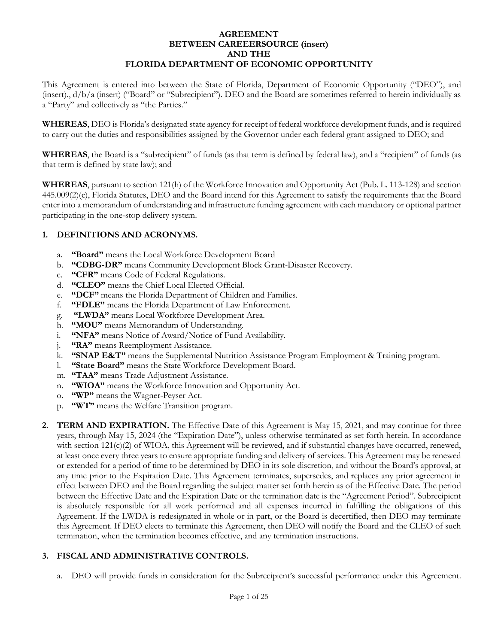### **AGREEMENT BETWEEN CAREEERSOURCE (insert) AND THE FLORIDA DEPARTMENT OF ECONOMIC OPPORTUNITY**

This Agreement is entered into between the State of Florida, Department of Economic Opportunity ("DEO"), and (insert)., d/b/a (insert) ("Board" or "Subrecipient"). DEO and the Board are sometimes referred to herein individually as a "Party" and collectively as "the Parties."

**WHEREAS**, DEO is Florida's designated state agency for receipt of federal workforce development funds, and is required to carry out the duties and responsibilities assigned by the Governor under each federal grant assigned to DEO; and

**WHEREAS**, the Board is a "subrecipient" of funds (as that term is defined by federal law), and a "recipient" of funds (as that term is defined by state law); and

**WHEREAS**, pursuant to section 121(h) of the Workforce Innovation and Opportunity Act (Pub. L. 113-128) and section 445.009(2)(c), Florida Statutes, DEO and the Board intend for this Agreement to satisfy the requirements that the Board enter into a memorandum of understanding and infrastructure funding agreement with each mandatory or optional partner participating in the one-stop delivery system.

# **1. DEFINITIONS AND ACRONYMS.**

- a. **"Board"** means the Local Workforce Development Board
- b. **"CDBG-DR"** means Community Development Block Grant-Disaster Recovery.
- c. **"CFR"** means Code of Federal Regulations.
- d. **"CLEO"** means the Chief Local Elected Official.
- e. **"DCF"** means the Florida Department of Children and Families.
- f. **"FDLE"** means the Florida Department of Law Enforcement.
- g. **"LWDA"** means Local Workforce Development Area.
- h. **"MOU"** means Memorandum of Understanding.
- i. **"NFA"** means Notice of Award/Notice of Fund Availability.
- j. **"RA"** means Reemployment Assistance.
- k. **"SNAP E&T"** means the Supplemental Nutrition Assistance Program Employment & Training program.
- l. **"State Board"** means the State Workforce Development Board.
- m. **"TAA"** means Trade Adjustment Assistance.
- n. **"WIOA"** means the Workforce Innovation and Opportunity Act.
- o. **"WP"** means the Wagner-Peyser Act.
- p. **"WT"** means the Welfare Transition program.
- **2. TERM AND EXPIRATION.** The Effective Date of this Agreement is May 15, 2021, and may continue for three years, through May 15, 2024 (the "Expiration Date"), unless otherwise terminated as set forth herein. In accordance with section  $121(c)(2)$  of WIOA, this Agreement will be reviewed, and if substantial changes have occurred, renewed, at least once every three years to ensure appropriate funding and delivery of services. This Agreement may be renewed or extended for a period of time to be determined by DEO in its sole discretion, and without the Board's approval, at any time prior to the Expiration Date. This Agreement terminates, supersedes, and replaces any prior agreement in effect between DEO and the Board regarding the subject matter set forth herein as of the Effective Date. The period between the Effective Date and the Expiration Date or the termination date is the "Agreement Period". Subrecipient is absolutely responsible for all work performed and all expenses incurred in fulfilling the obligations of this Agreement. If the LWDA is redesignated in whole or in part, or the Board is decertified, then DEO may terminate this Agreement. If DEO elects to terminate this Agreement, then DEO will notify the Board and the CLEO of such termination, when the termination becomes effective, and any termination instructions.

### **3. FISCAL AND ADMINISTRATIVE CONTROLS.**

a. DEO will provide funds in consideration for the Subrecipient's successful performance under this Agreement.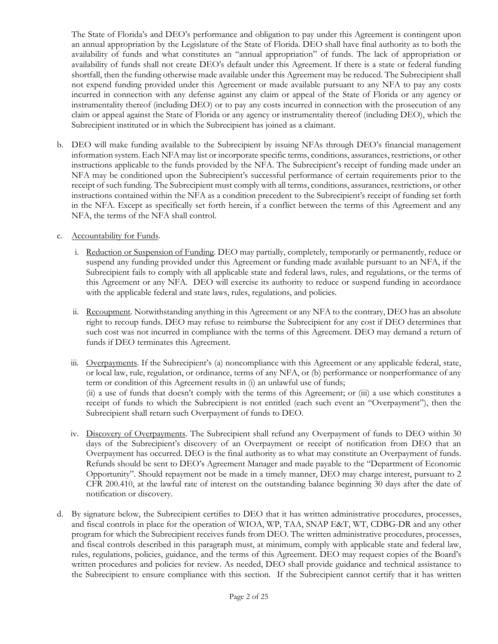The State of Florida's and DEO's performance and obligation to pay under this Agreement is contingent upon an annual appropriation by the Legislature of the State of Florida. DEO shall have final authority as to both the availability of funds and what constitutes an "annual appropriation" of funds. The lack of appropriation or availability of funds shall not create DEO's default under this Agreement. If there is a state or federal funding shortfall, then the funding otherwise made available under this Agreement may be reduced. The Subrecipient shall not expend funding provided under this Agreement or made available pursuant to any NFA to pay any costs incurred in connection with any defense against any claim or appeal of the State of Florida or any agency or instrumentality thereof (including DEO) or to pay any costs incurred in connection with the prosecution of any claim or appeal against the State of Florida or any agency or instrumentality thereof (including DEO), which the Subrecipient instituted or in which the Subrecipient has joined as a claimant.

- b. DEO will make funding available to the Subrecipient by issuing NFAs through DEO's financial management information system. Each NFA may list or incorporate specific terms, conditions, assurances, restrictions, or other instructions applicable to the funds provided by the NFA. The Subrecipient's receipt of funding made under an NFA may be conditioned upon the Subrecipient's successful performance of certain requirements prior to the receipt of such funding. The Subrecipient must comply with all terms, conditions, assurances, restrictions, or other instructions contained within the NFA as a condition precedent to the Subrecipient's receipt of funding set forth in the NFA. Except as specifically set forth herein, if a conflict between the terms of this Agreement and any NFA, the terms of the NFA shall control.
- c. Accountability for Funds.
	- i. Reduction or Suspension of Funding. DEO may partially, completely, temporarily or permanently, reduce or suspend any funding provided under this Agreement or funding made available pursuant to an NFA, if the Subrecipient fails to comply with all applicable state and federal laws, rules, and regulations, or the terms of this Agreement or any NFA. DEO will exercise its authority to reduce or suspend funding in accordance with the applicable federal and state laws, rules, regulations, and policies.
	- ii. Recoupment. Notwithstanding anything in this Agreement or any NFA to the contrary, DEO has an absolute right to recoup funds. DEO may refuse to reimburse the Subrecipient for any cost if DEO determines that such cost was not incurred in compliance with the terms of this Agreement. DEO may demand a return of funds if DEO terminates this Agreement.
	- iii. Overpayments. If the Subrecipient's (a) noncompliance with this Agreement or any applicable federal, state, or local law, rule, regulation, or ordinance, terms of any NFA, or (b) performance or nonperformance of any term or condition of this Agreement results in (i) an unlawful use of funds; (ii) a use of funds that doesn't comply with the terms of this Agreement; or (iii) a use which constitutes a receipt of funds to which the Subrecipient is not entitled (each such event an "Overpayment"), then the Subrecipient shall return such Overpayment of funds to DEO.
	- iv. Discovery of Overpayments. The Subrecipient shall refund any Overpayment of funds to DEO within 30 days of the Subrecipient's discovery of an Overpayment or receipt of notification from DEO that an Overpayment has occurred. DEO is the final authority as to what may constitute an Overpayment of funds. Refunds should be sent to DEO's Agreement Manager and made payable to the "Department of Economic Opportunity". Should repayment not be made in a timely manner, DEO may charge interest, pursuant to 2 CFR 200.410, at the lawful rate of interest on the outstanding balance beginning 30 days after the date of notification or discovery.
- d. By signature below, the Subrecipient certifies to DEO that it has written administrative procedures, processes, and fiscal controls in place for the operation of WIOA, WP, TAA, SNAP E&T, WT, CDBG-DR and any other program for which the Subrecipient receives funds from DEO. The written administrative procedures, processes, and fiscal controls described in this paragraph must, at minimum, comply with applicable state and federal law, rules, regulations, policies, guidance, and the terms of this Agreement. DEO may request copies of the Board's written procedures and policies for review. As needed, DEO shall provide guidance and technical assistance to the Subrecipient to ensure compliance with this section. If the Subrecipient cannot certify that it has written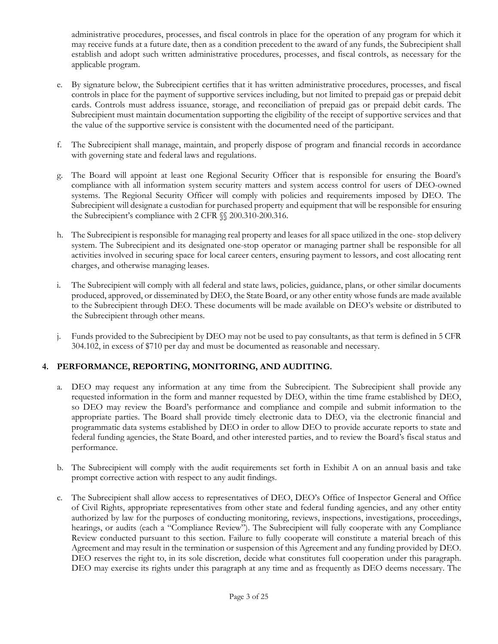administrative procedures, processes, and fiscal controls in place for the operation of any program for which it may receive funds at a future date, then as a condition precedent to the award of any funds, the Subrecipient shall establish and adopt such written administrative procedures, processes, and fiscal controls, as necessary for the applicable program.

- e. By signature below, the Subrecipient certifies that it has written administrative procedures, processes, and fiscal controls in place for the payment of supportive services including, but not limited to prepaid gas or prepaid debit cards. Controls must address issuance, storage, and reconciliation of prepaid gas or prepaid debit cards. The Subrecipient must maintain documentation supporting the eligibility of the receipt of supportive services and that the value of the supportive service is consistent with the documented need of the participant.
- f. The Subrecipient shall manage, maintain, and properly dispose of program and financial records in accordance with governing state and federal laws and regulations.
- g. The Board will appoint at least one Regional Security Officer that is responsible for ensuring the Board's compliance with all information system security matters and system access control for users of DEO-owned systems. The Regional Security Officer will comply with policies and requirements imposed by DEO. The Subrecipient will designate a custodian for purchased property and equipment that will be responsible for ensuring the Subrecipient's compliance with 2 CFR §§ 200.310-200.316.
- h. The Subrecipient is responsible for managing real property and leases for all space utilized in the one- stop delivery system. The Subrecipient and its designated one-stop operator or managing partner shall be responsible for all activities involved in securing space for local career centers, ensuring payment to lessors, and cost allocating rent charges, and otherwise managing leases.
- i. The Subrecipient will comply with all federal and state laws, policies, guidance, plans, or other similar documents produced, approved, or disseminated by DEO, the State Board, or any other entity whose funds are made available to the Subrecipient through DEO. These documents will be made available on DEO's website or distributed to the Subrecipient through other means.
- j. Funds provided to the Subrecipient by DEO may not be used to pay consultants, as that term is defined in 5 CFR 304.102, in excess of \$710 per day and must be documented as reasonable and necessary.

### **4. PERFORMANCE, REPORTING, MONITORING, AND AUDITING.**

- a. DEO may request any information at any time from the Subrecipient. The Subrecipient shall provide any requested information in the form and manner requested by DEO, within the time frame established by DEO, so DEO may review the Board's performance and compliance and compile and submit information to the appropriate parties. The Board shall provide timely electronic data to DEO, via the electronic financial and programmatic data systems established by DEO in order to allow DEO to provide accurate reports to state and federal funding agencies, the State Board, and other interested parties, and to review the Board's fiscal status and performance.
- b. The Subrecipient will comply with the audit requirements set forth in Exhibit A on an annual basis and take prompt corrective action with respect to any audit findings.
- c. The Subrecipient shall allow access to representatives of DEO, DEO's Office of Inspector General and Office of Civil Rights, appropriate representatives from other state and federal funding agencies, and any other entity authorized by law for the purposes of conducting monitoring, reviews, inspections, investigations, proceedings, hearings, or audits (each a "Compliance Review"). The Subrecipient will fully cooperate with any Compliance Review conducted pursuant to this section. Failure to fully cooperate will constitute a material breach of this Agreement and may result in the termination or suspension of this Agreement and any funding provided by DEO. DEO reserves the right to, in its sole discretion, decide what constitutes full cooperation under this paragraph. DEO may exercise its rights under this paragraph at any time and as frequently as DEO deems necessary. The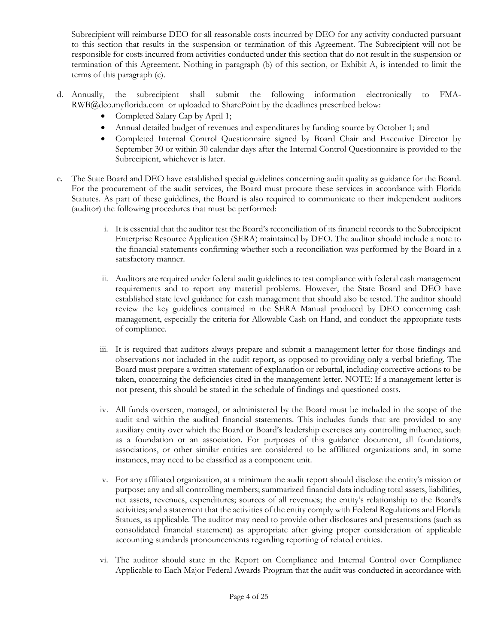Subrecipient will reimburse DEO for all reasonable costs incurred by DEO for any activity conducted pursuant to this section that results in the suspension or termination of this Agreement. The Subrecipient will not be responsible for costs incurred from activities conducted under this section that do not result in the suspension or termination of this Agreement. Nothing in paragraph (b) of this section, or Exhibit A, is intended to limit the terms of this paragraph (c).

- d. Annually, the subrecipient shall submit the following information electronically to FMA[-](mailto:RWB@deo.myflorida.com)[RWB@deo.myflorida.com](mailto:RWB@deo.myflorida.com) or uploaded to SharePoint by the deadlines prescribed below:
	- Completed Salary Cap by April 1;
	- Annual detailed budget of revenues and expenditures by funding source by October 1; and
	- Completed Internal Control Questionnaire signed by Board Chair and Executive Director by September 30 or within 30 calendar days after the Internal Control Questionnaire is provided to the Subrecipient, whichever is later.
- e. The State Board and DEO have established special guidelines concerning audit quality as guidance for the Board. For the procurement of the audit services, the Board must procure these services in accordance with Florida Statutes. As part of these guidelines, the Board is also required to communicate to their independent auditors (auditor) the following procedures that must be performed:
	- i. It is essential that the auditor test the Board's reconciliation of its financial records to the Subrecipient Enterprise Resource Application (SERA) maintained by DEO. The auditor should include a note to the financial statements confirming whether such a reconciliation was performed by the Board in a satisfactory manner.
	- ii. Auditors are required under federal audit guidelines to test compliance with federal cash management requirements and to report any material problems. However, the State Board and DEO have established state level guidance for cash management that should also be tested. The auditor should review the key guidelines contained in the SERA Manual produced by DEO concerning cash management, especially the criteria for Allowable Cash on Hand, and conduct the appropriate tests of compliance.
	- iii. It is required that auditors always prepare and submit a management letter for those findings and observations not included in the audit report, as opposed to providing only a verbal briefing. The Board must prepare a written statement of explanation or rebuttal, including corrective actions to be taken, concerning the deficiencies cited in the management letter. NOTE: If a management letter is not present, this should be stated in the schedule of findings and questioned costs.
	- iv. All funds overseen, managed, or administered by the Board must be included in the scope of the audit and within the audited financial statements. This includes funds that are provided to any auxiliary entity over which the Board or Board's leadership exercises any controlling influence, such as a foundation or an association. For purposes of this guidance document, all foundations, associations, or other similar entities are considered to be affiliated organizations and, in some instances, may need to be classified as a component unit.
	- v. For any affiliated organization, at a minimum the audit report should disclose the entity's mission or purpose; any and all controlling members; summarized financial data including total assets, liabilities, net assets, revenues, expenditures; sources of all revenues; the entity's relationship to the Board's activities; and a statement that the activities of the entity comply with Federal Regulations and Florida Statues, as applicable. The auditor may need to provide other disclosures and presentations (such as consolidated financial statement) as appropriate after giving proper consideration of applicable accounting standards pronouncements regarding reporting of related entities.
	- vi. The auditor should state in the Report on Compliance and Internal Control over Compliance Applicable to Each Major Federal Awards Program that the audit was conducted in accordance with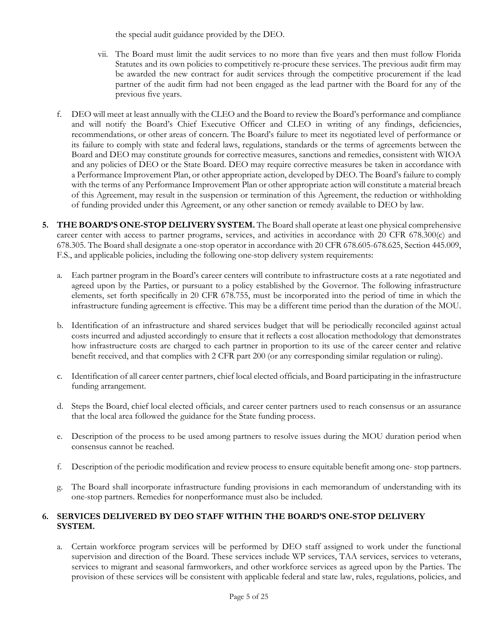the special audit guidance provided by the DEO.

- vii. The Board must limit the audit services to no more than five years and then must follow Florida Statutes and its own policies to competitively re-procure these services. The previous audit firm may be awarded the new contract for audit services through the competitive procurement if the lead partner of the audit firm had not been engaged as the lead partner with the Board for any of the previous five years.
- f. DEO will meet at least annually with the CLEO and the Board to review the Board's performance and compliance and will notify the Board's Chief Executive Officer and CLEO in writing of any findings, deficiencies, recommendations, or other areas of concern. The Board's failure to meet its negotiated level of performance or its failure to comply with state and federal laws, regulations, standards or the terms of agreements between the Board and DEO may constitute grounds for corrective measures, sanctions and remedies, consistent with WIOA and any policies of DEO or the State Board. DEO may require corrective measures be taken in accordance with a Performance Improvement Plan, or other appropriate action, developed by DEO. The Board's failure to comply with the terms of any Performance Improvement Plan or other appropriate action will constitute a material breach of this Agreement, may result in the suspension or termination of this Agreement, the reduction or withholding of funding provided under this Agreement, or any other sanction or remedy available to DEO by law.
- **5. THE BOARD'S ONE-STOP DELIVERY SYSTEM.** The Board shall operate at least one physical comprehensive career center with access to partner programs, services, and activities in accordance with 20 CFR 678.300(c) and 678.305. The Board shall designate a one-stop operator in accordance with 20 CFR 678.605-678.625, Section 445.009, F.S., and applicable policies, including the following one-stop delivery system requirements:
	- a. Each partner program in the Board's career centers will contribute to infrastructure costs at a rate negotiated and agreed upon by the Parties, or pursuant to a policy established by the Governor. The following infrastructure elements, set forth specifically in 20 CFR 678.755, must be incorporated into the period of time in which the infrastructure funding agreement is effective. This may be a different time period than the duration of the MOU.
	- b. Identification of an infrastructure and shared services budget that will be periodically reconciled against actual costs incurred and adjusted accordingly to ensure that it reflects a cost allocation methodology that demonstrates how infrastructure costs are charged to each partner in proportion to its use of the career center and relative benefit received, and that complies with 2 CFR part 200 (or any corresponding similar regulation or ruling).
	- c. Identification of all career center partners, chief local elected officials, and Board participating in the infrastructure funding arrangement.
	- d. Steps the Board, chief local elected officials, and career center partners used to reach consensus or an assurance that the local area followed the guidance for the State funding process.
	- e. Description of the process to be used among partners to resolve issues during the MOU duration period when consensus cannot be reached.
	- f. Description of the periodic modification and review process to ensure equitable benefit among one- stop partners.
	- g. The Board shall incorporate infrastructure funding provisions in each memorandum of understanding with its one-stop partners. Remedies for nonperformance must also be included.

## **6. SERVICES DELIVERED BY DEO STAFF WITHIN THE BOARD'S ONE-STOP DELIVERY SYSTEM.**

a. Certain workforce program services will be performed by DEO staff assigned to work under the functional supervision and direction of the Board. These services include WP services, TAA services, services to veterans, services to migrant and seasonal farmworkers, and other workforce services as agreed upon by the Parties. The provision of these services will be consistent with applicable federal and state law, rules, regulations, policies, and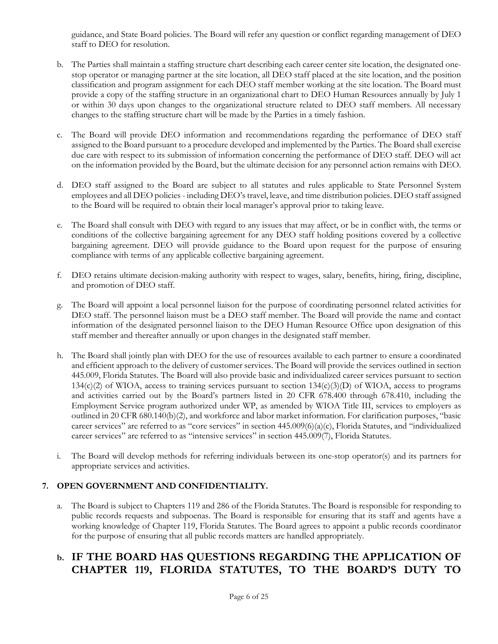guidance, and State Board policies. The Board will refer any question or conflict regarding management of DEO staff to DEO for resolution.

- b. The Parties shall maintain a staffing structure chart describing each career center site location, the designated onestop operator or managing partner at the site location, all DEO staff placed at the site location, and the position classification and program assignment for each DEO staff member working at the site location. The Board must provide a copy of the staffing structure in an organizational chart to DEO Human Resources annually by July 1 or within 30 days upon changes to the organizational structure related to DEO staff members. All necessary changes to the staffing structure chart will be made by the Parties in a timely fashion.
- c. The Board will provide DEO information and recommendations regarding the performance of DEO staff assigned to the Board pursuant to a procedure developed and implemented by the Parties. The Board shall exercise due care with respect to its submission of information concerning the performance of DEO staff. DEO will act on the information provided by the Board, but the ultimate decision for any personnel action remains with DEO.
- d. DEO staff assigned to the Board are subject to all statutes and rules applicable to State Personnel System employees and all DEO policies - including DEO's travel, leave, and time distribution policies. DEO staff assigned to the Board will be required to obtain their local manager's approval prior to taking leave.
- The Board shall consult with DEO with regard to any issues that may affect, or be in conflict with, the terms or conditions of the collective bargaining agreement for any DEO staff holding positions covered by a collective bargaining agreement. DEO will provide guidance to the Board upon request for the purpose of ensuring compliance with terms of any applicable collective bargaining agreement.
- f. DEO retains ultimate decision-making authority with respect to wages, salary, benefits, hiring, firing, discipline, and promotion of DEO staff.
- g. The Board will appoint a local personnel liaison for the purpose of coordinating personnel related activities for DEO staff. The personnel liaison must be a DEO staff member. The Board will provide the name and contact information of the designated personnel liaison to the DEO Human Resource Office upon designation of this staff member and thereafter annually or upon changes in the designated staff member.
- h. The Board shall jointly plan with DEO for the use of resources available to each partner to ensure a coordinated and efficient approach to the delivery of customer services. The Board will provide the services outlined in section 445.009, Florida Statutes. The Board will also provide basic and individualized career services pursuant to section  $134(c)(2)$  of WIOA, access to training services pursuant to section  $134(c)(3)(D)$  of WIOA, access to programs and activities carried out by the Board's partners listed in 20 CFR 678.400 through 678.410, including the Employment Service program authorized under WP, as amended by WIOA Title III, services to employers as outlined in 20 CFR 680.140(b)(2), and workforce and labor market information. For clarification purposes, "basic career services" are referred to as "core services" in section 445.009(6)(a)(c), Florida Statutes, and "individualized career services" are referred to as "intensive services" in section 445.009(7), Florida Statutes.
- i. The Board will develop methods for referring individuals between its one-stop operator(s) and its partners for appropriate services and activities.

# **7. OPEN GOVERNMENT AND CONFIDENTIALITY.**

a. The Board is subject to Chapters 119 and 286 of the Florida Statutes. The Board is responsible for responding to public records requests and subpoenas. The Board is responsible for ensuring that its staff and agents have a working knowledge of Chapter 119, Florida Statutes. The Board agrees to appoint a public records coordinator for the purpose of ensuring that all public records matters are handled appropriately.

# **b. IF THE BOARD HAS QUESTIONS REGARDING THE APPLICATION OF CHAPTER 119, FLORIDA STATUTES, TO THE BOARD'S DUTY TO**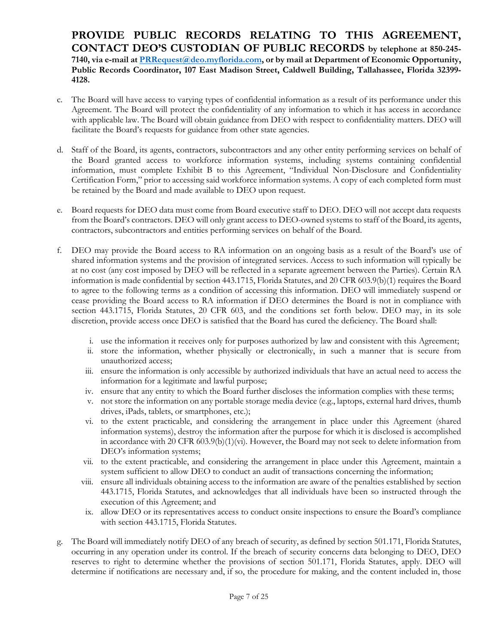**PROVIDE PUBLIC RECORDS RELATING TO THIS AGREEMENT, CONTACT DEO'S CUSTODIAN OF PUBLIC RECORDS by telephone at 850-245- 7140, via e-mail at [PRRequest@deo.myflorida.com,](mailto:PRRequest@deo.myflorida.com) or by mail at Department of Economic Opportunity, Public Records Coordinator, 107 East Madison Street, Caldwell Building, Tallahassee, Florida 32399- 4128.**

- c. The Board will have access to varying types of confidential information as a result of its performance under this Agreement. The Board will protect the confidentiality of any information to which it has access in accordance with applicable law. The Board will obtain guidance from DEO with respect to confidentiality matters. DEO will facilitate the Board's requests for guidance from other state agencies.
- d. Staff of the Board, its agents, contractors, subcontractors and any other entity performing services on behalf of the Board granted access to workforce information systems, including systems containing confidential information, must complete Exhibit B to this Agreement, "Individual Non-Disclosure and Confidentiality Certification Form," prior to accessing said workforce information systems. A copy of each completed form must be retained by the Board and made available to DEO upon request.
- e. Board requests for DEO data must come from Board executive staff to DEO. DEO will not accept data requests from the Board's contractors. DEO will only grant access to DEO-owned systems to staff of the Board, its agents, contractors, subcontractors and entities performing services on behalf of the Board.
- f. DEO may provide the Board access to RA information on an ongoing basis as a result of the Board's use of shared information systems and the provision of integrated services. Access to such information will typically be at no cost (any cost imposed by DEO will be reflected in a separate agreement between the Parties). Certain RA information is made confidential by section 443.1715, Florida Statutes, and 20 CFR 603.9(b)(1) requires the Board to agree to the following terms as a condition of accessing this information. DEO will immediately suspend or cease providing the Board access to RA information if DEO determines the Board is not in compliance with section 443.1715, Florida Statutes, 20 CFR 603, and the conditions set forth below. DEO may, in its sole discretion, provide access once DEO is satisfied that the Board has cured the deficiency. The Board shall:
	- i. use the information it receives only for purposes authorized by law and consistent with this Agreement;
	- ii. store the information, whether physically or electronically, in such a manner that is secure from unauthorized access;
	- iii. ensure the information is only accessible by authorized individuals that have an actual need to access the information for a legitimate and lawful purpose;
	- iv. ensure that any entity to which the Board further discloses the information complies with these terms;
	- v. not store the information on any portable storage media device (e.g., laptops, external hard drives, thumb drives, iPads, tablets, or smartphones, etc.);
	- vi. to the extent practicable, and considering the arrangement in place under this Agreement (shared information systems), destroy the information after the purpose for which it is disclosed is accomplished in accordance with 20 CFR 603.9(b)(1)(vi). However, the Board may not seek to delete information from DEO's information systems;
	- vii. to the extent practicable, and considering the arrangement in place under this Agreement, maintain a system sufficient to allow DEO to conduct an audit of transactions concerning the information;
	- viii. ensure all individuals obtaining access to the information are aware of the penalties established by section 443.1715, Florida Statutes, and acknowledges that all individuals have been so instructed through the execution of this Agreement; and
	- ix. allow DEO or its representatives access to conduct onsite inspections to ensure the Board's compliance with section 443.1715, Florida Statutes.
- g. The Board will immediately notify DEO of any breach of security, as defined by section 501.171, Florida Statutes, occurring in any operation under its control. If the breach of security concerns data belonging to DEO, DEO reserves to right to determine whether the provisions of section 501.171, Florida Statutes, apply. DEO will determine if notifications are necessary and, if so, the procedure for making, and the content included in, those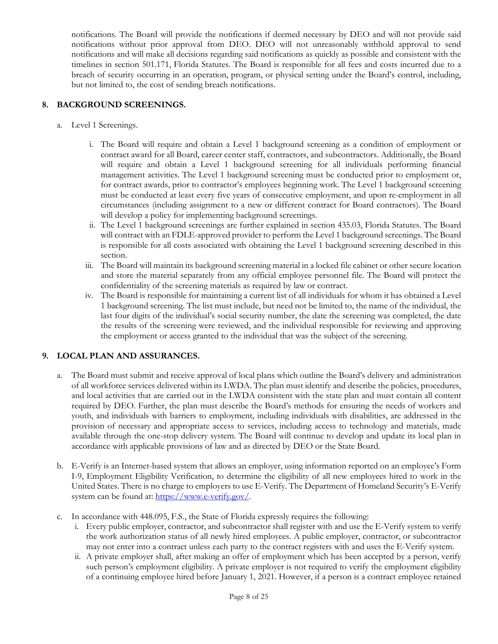notifications. The Board will provide the notifications if deemed necessary by DEO and will not provide said notifications without prior approval from DEO. DEO will not unreasonably withhold approval to send notifications and will make all decisions regarding said notifications as quickly as possible and consistent with the timelines in section 501.171, Florida Statutes. The Board is responsible for all fees and costs incurred due to a breach of security occurring in an operation, program, or physical setting under the Board's control, including, but not limited to, the cost of sending breach notifications.

## **8. BACKGROUND SCREENINGS.**

- a. Level 1 Screenings.
	- i. The Board will require and obtain a Level 1 background screening as a condition of employment or contract award for all Board, career center staff, contractors, and subcontractors. Additionally, the Board will require and obtain a Level 1 background screening for all individuals performing financial management activities. The Level 1 background screening must be conducted prior to employment or, for contract awards, prior to contractor's employees beginning work. The Level 1 background screening must be conducted at least every five years of consecutive employment, and upon re-employment in all circumstances (including assignment to a new or different contract for Board contractors). The Board will develop a policy for implementing background screenings.
	- ii. The Level 1 background screenings are further explained in section 435.03, Florida Statutes. The Board will contract with an FDLE-approved provider to perform the Level 1 background screenings. The Board is responsible for all costs associated with obtaining the Level 1 background screening described in this section.
	- iii. The Board will maintain its background screening material in a locked file cabinet or other secure location and store the material separately from any official employee personnel file. The Board will protect the confidentiality of the screening materials as required by law or contract.
	- iv. The Board is responsible for maintaining a current list of all individuals for whom it has obtained a Level 1 background screening. The list must include, but need not be limited to, the name of the individual, the last four digits of the individual's social security number, the date the screening was completed, the date the results of the screening were reviewed, and the individual responsible for reviewing and approving the employment or access granted to the individual that was the subject of the screening.

# **9. LOCAL PLAN AND ASSURANCES.**

- a. The Board must submit and receive approval of local plans which outline the Board's delivery and administration of all workforce services delivered within its LWDA. The plan must identify and describe the policies, procedures, and local activities that are carried out in the LWDA consistent with the state plan and must contain all content required by DEO. Further, the plan must describe the Board's methods for ensuring the needs of workers and youth, and individuals with barriers to employment, including individuals with disabilities, are addressed in the provision of necessary and appropriate access to services, including access to technology and materials, made available through the one-stop delivery system. The Board will continue to develop and update its local plan in accordance with applicable provisions of law and as directed by DEO or the State Board.
- b. E-Verify is an Internet-based system that allows an employer, using information reported on an employee's Form I-9, Employment Eligibility Verification, to determine the eligibility of all new employees hired to work in the United States. There is no charge to employers to use E-Verify. The Department of Homeland Security's E-Verify system can be found at: https://www.e-verify.gov/.
- c. In accordance with 448.095, F.S., the State of Florida expressly requires the following:
	- i. Every public employer, contractor, and subcontractor shall register with and use the E-Verify system to verify the work authorization status of all newly hired employees. A public employer, contractor, or subcontractor may not enter into a contract unless each party to the contract registers with and uses the E-Verify system.
	- ii. A private employer shall, after making an offer of employment which has been accepted by a person, verify such person's employment eligibility. A private employer is not required to verify the employment eligibility of a continuing employee hired before January 1, 2021. However, if a person is a contract employee retained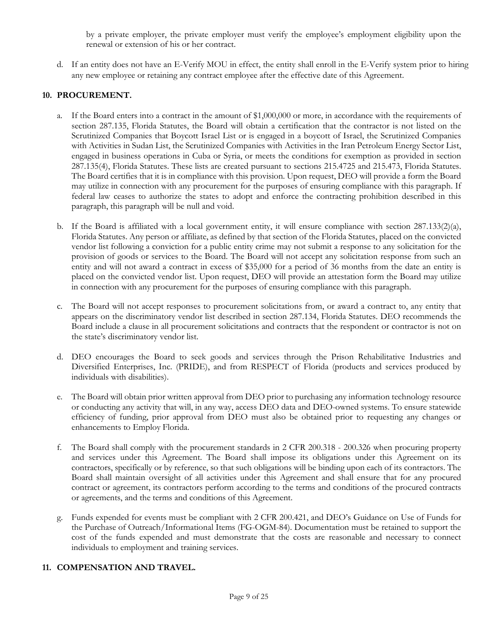by a private employer, the private employer must verify the employee's employment eligibility upon the renewal or extension of his or her contract.

d. If an entity does not have an E-Verify MOU in effect, the entity shall enroll in the E-Verify system prior to hiring any new employee or retaining any contract employee after the effective date of this Agreement.

### **10. PROCUREMENT.**

- a. If the Board enters into a contract in the amount of \$1,000,000 or more, in accordance with the requirements of section 287.135, Florida Statutes, the Board will obtain a certification that the contractor is not listed on the Scrutinized Companies that Boycott Israel List or is engaged in a boycott of Israel, the Scrutinized Companies with Activities in Sudan List, the Scrutinized Companies with Activities in the Iran Petroleum Energy Sector List, engaged in business operations in Cuba or Syria, or meets the conditions for exemption as provided in section 287.135(4), Florida Statutes. These lists are created pursuant to sections 215.4725 and 215.473, Florida Statutes. The Board certifies that it is in compliance with this provision. Upon request, DEO will provide a form the Board may utilize in connection with any procurement for the purposes of ensuring compliance with this paragraph. If federal law ceases to authorize the states to adopt and enforce the contracting prohibition described in this paragraph, this paragraph will be null and void.
- b. If the Board is affiliated with a local government entity, it will ensure compliance with section  $287.133(2)(a)$ , Florida Statutes. Any person or affiliate, as defined by that section of the Florida Statutes, placed on the convicted vendor list following a conviction for a public entity crime may not submit a response to any solicitation for the provision of goods or services to the Board. The Board will not accept any solicitation response from such an entity and will not award a contract in excess of \$35,000 for a period of 36 months from the date an entity is placed on the convicted vendor list. Upon request, DEO will provide an attestation form the Board may utilize in connection with any procurement for the purposes of ensuring compliance with this paragraph.
- c. The Board will not accept responses to procurement solicitations from, or award a contract to, any entity that appears on the discriminatory vendor list described in section 287.134, Florida Statutes. DEO recommends the Board include a clause in all procurement solicitations and contracts that the respondent or contractor is not on the state's discriminatory vendor list.
- d. DEO encourages the Board to seek goods and services through the Prison Rehabilitative Industries and Diversified Enterprises, Inc. (PRIDE), and from RESPECT of Florida (products and services produced by individuals with disabilities).
- e. The Board will obtain prior written approval from DEO prior to purchasing any information technology resource or conducting any activity that will, in any way, access DEO data and DEO-owned systems. To ensure statewide efficiency of funding, prior approval from DEO must also be obtained prior to requesting any changes or enhancements to Employ Florida.
- f. The Board shall comply with the procurement standards in 2 CFR 200.318 200.326 when procuring property and services under this Agreement. The Board shall impose its obligations under this Agreement on its contractors, specifically or by reference, so that such obligations will be binding upon each of its contractors. The Board shall maintain oversight of all activities under this Agreement and shall ensure that for any procured contract or agreement, its contractors perform according to the terms and conditions of the procured contracts or agreements, and the terms and conditions of this Agreement.
- g. Funds expended for events must be compliant with 2 CFR 200.421, and DEO's Guidance on Use of Funds for the Purchase of Outreach/Informational Items (FG-OGM-84). Documentation must be retained to support the cost of the funds expended and must demonstrate that the costs are reasonable and necessary to connect individuals to employment and training services.

### **11. COMPENSATION AND TRAVEL.**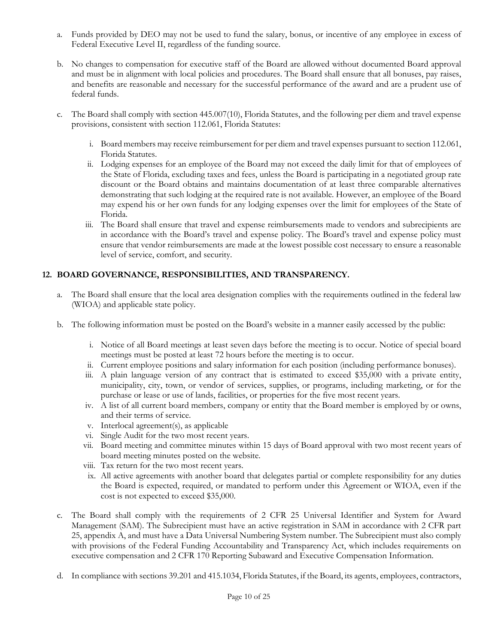- a. Funds provided by DEO may not be used to fund the salary, bonus, or incentive of any employee in excess of Federal Executive Level II, regardless of the funding source.
- b. No changes to compensation for executive staff of the Board are allowed without documented Board approval and must be in alignment with local policies and procedures. The Board shall ensure that all bonuses, pay raises, and benefits are reasonable and necessary for the successful performance of the award and are a prudent use of federal funds.
- c. The Board shall comply with section 445.007(10), Florida Statutes, and the following per diem and travel expense provisions, consistent with section 112.061, Florida Statutes:
	- i. Board members may receive reimbursement for per diem and travel expenses pursuant to section 112.061, Florida Statutes.
	- ii. Lodging expenses for an employee of the Board may not exceed the daily limit for that of employees of the State of Florida, excluding taxes and fees, unless the Board is participating in a negotiated group rate discount or the Board obtains and maintains documentation of at least three comparable alternatives demonstrating that such lodging at the required rate is not available. However, an employee of the Board may expend his or her own funds for any lodging expenses over the limit for employees of the State of Florida.
	- iii. The Board shall ensure that travel and expense reimbursements made to vendors and subrecipients are in accordance with the Board's travel and expense policy. The Board's travel and expense policy must ensure that vendor reimbursements are made at the lowest possible cost necessary to ensure a reasonable level of service, comfort, and security.

# **12. BOARD GOVERNANCE, RESPONSIBILITIES, AND TRANSPARENCY.**

- a. The Board shall ensure that the local area designation complies with the requirements outlined in the federal law (WIOA) and applicable state policy.
- b. The following information must be posted on the Board's website in a manner easily accessed by the public:
	- i. Notice of all Board meetings at least seven days before the meeting is to occur. Notice of special board meetings must be posted at least 72 hours before the meeting is to occur.
	- ii. Current employee positions and salary information for each position (including performance bonuses).
	- iii. A plain language version of any contract that is estimated to exceed \$35,000 with a private entity, municipality, city, town, or vendor of services, supplies, or programs, including marketing, or for the purchase or lease or use of lands, facilities, or properties for the five most recent years.
	- iv. A list of all current board members, company or entity that the Board member is employed by or owns, and their terms of service.
	- v. Interlocal agreement(s), as applicable
	- vi. Single Audit for the two most recent years.
	- vii. Board meeting and committee minutes within 15 days of Board approval with two most recent years of board meeting minutes posted on the website.
	- viii. Tax return for the two most recent years.
	- ix. All active agreements with another board that delegates partial or complete responsibility for any duties the Board is expected, required, or mandated to perform under this Agreement or WIOA, even if the cost is not expected to exceed \$35,000.
- c. The Board shall comply with the requirements of 2 CFR 25 Universal Identifier and System for Award Management (SAM). The Subrecipient must have an active registration in SAM in accordance with 2 CFR part 25, appendix A, and must have a Data Universal Numbering System number. The Subrecipient must also comply with provisions of the Federal Funding Accountability and Transparency Act, which includes requirements on executive compensation and 2 CFR 170 Reporting Subaward and Executive Compensation Information.
- d. In compliance with sections 39.201 and 415.1034, Florida Statutes, if the Board, its agents, employees, contractors,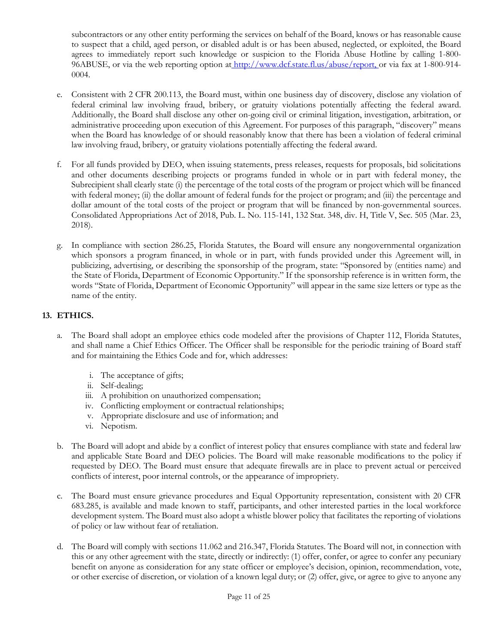subcontractors or any other entity performing the services on behalf of the Board, knows or has reasonable cause to suspect that a child, aged person, or disabled adult is or has been abused, neglected, or exploited, the Board agrees to immediately report such knowledge or suspicion to the Florida Abuse Hotline by calling 1-800 96ABUSE, or via the web reporting option at [http://www.dcf.state.fl.us/abuse/report, o](http://www.dcf.state.fl.us/abuse/report,)r via fax at 1-800-914-0004.

- e. Consistent with 2 CFR 200.113, the Board must, within one business day of discovery, disclose any violation of federal criminal law involving fraud, bribery, or gratuity violations potentially affecting the federal award. Additionally, the Board shall disclose any other on-going civil or criminal litigation, investigation, arbitration, or administrative proceeding upon execution of this Agreement. For purposes of this paragraph, "discovery" means when the Board has knowledge of or should reasonably know that there has been a violation of federal criminal law involving fraud, bribery, or gratuity violations potentially affecting the federal award.
- f. For all funds provided by DEO, when issuing statements, press releases, requests for proposals, bid solicitations and other documents describing projects or programs funded in whole or in part with federal money, the Subrecipient shall clearly state (i) the percentage of the total costs of the program or project which will be financed with federal money; (ii) the dollar amount of federal funds for the project or program; and (iii) the percentage and dollar amount of the total costs of the project or program that will be financed by non-governmental sources. Consolidated Appropriations Act of 2018, Pub. L. No. 115-141, 132 Stat. 348, div. H, Title V, Sec. 505 (Mar. 23, 2018).
- g. In compliance with section 286.25, Florida Statutes, the Board will ensure any nongovernmental organization which sponsors a program financed, in whole or in part, with funds provided under this Agreement will, in publicizing, advertising, or describing the sponsorship of the program, state: "Sponsored by (entities name) and the State of Florida, Department of Economic Opportunity." If the sponsorship reference is in written form, the words "State of Florida, Department of Economic Opportunity" will appear in the same size letters or type as the name of the entity.

# **13. ETHICS.**

- a. The Board shall adopt an employee ethics code modeled after the provisions of Chapter 112, Florida Statutes, and shall name a Chief Ethics Officer. The Officer shall be responsible for the periodic training of Board staff and for maintaining the Ethics Code and for, which addresses:
	- i. The acceptance of gifts;
	- ii. Self-dealing;
	- iii. A prohibition on unauthorized compensation;
	- iv. Conflicting employment or contractual relationships;
	- v. Appropriate disclosure and use of information; and
	- vi. Nepotism.
- b. The Board will adopt and abide by a conflict of interest policy that ensures compliance with state and federal law and applicable State Board and DEO policies. The Board will make reasonable modifications to the policy if requested by DEO. The Board must ensure that adequate firewalls are in place to prevent actual or perceived conflicts of interest, poor internal controls, or the appearance of impropriety.
- c. The Board must ensure grievance procedures and Equal Opportunity representation, consistent with 20 CFR 683.285, is available and made known to staff, participants, and other interested parties in the local workforce development system. The Board must also adopt a whistle blower policy that facilitates the reporting of violations of policy or law without fear of retaliation.
- d. The Board will comply with sections 11.062 and 216.347, Florida Statutes. The Board will not, in connection with this or any other agreement with the state, directly or indirectly: (1) offer, confer, or agree to confer any pecuniary benefit on anyone as consideration for any state officer or employee's decision, opinion, recommendation, vote, or other exercise of discretion, or violation of a known legal duty; or (2) offer, give, or agree to give to anyone any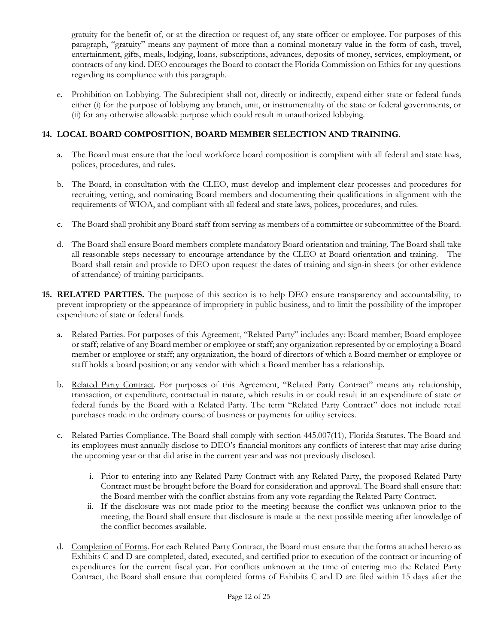gratuity for the benefit of, or at the direction or request of, any state officer or employee. For purposes of this paragraph, "gratuity" means any payment of more than a nominal monetary value in the form of cash, travel, entertainment, gifts, meals, lodging, loans, subscriptions, advances, deposits of money, services, employment, or contracts of any kind. DEO encourages the Board to contact the Florida Commission on Ethics for any questions regarding its compliance with this paragraph.

e. Prohibition on Lobbying. The Subrecipient shall not, directly or indirectly, expend either state or federal funds either (i) for the purpose of lobbying any branch, unit, or instrumentality of the state or federal governments, or (ii) for any otherwise allowable purpose which could result in unauthorized lobbying.

# **14. LOCAL BOARD COMPOSITION, BOARD MEMBER SELECTION AND TRAINING.**

- a. The Board must ensure that the local workforce board composition is compliant with all federal and state laws, polices, procedures, and rules.
- b. The Board, in consultation with the CLEO, must develop and implement clear processes and procedures for recruiting, vetting, and nominating Board members and documenting their qualifications in alignment with the requirements of WIOA, and compliant with all federal and state laws, polices, procedures, and rules.
- c. The Board shall prohibit any Board staff from serving as members of a committee or subcommittee of the Board.
- d. The Board shall ensure Board members complete mandatory Board orientation and training. The Board shall take all reasonable steps necessary to encourage attendance by the CLEO at Board orientation and training. The Board shall retain and provide to DEO upon request the dates of training and sign-in sheets (or other evidence of attendance) of training participants.
- **15. RELATED PARTIES.** The purpose of this section is to help DEO ensure transparency and accountability, to prevent impropriety or the appearance of impropriety in public business, and to limit the possibility of the improper expenditure of state or federal funds.
	- a. Related Parties. For purposes of this Agreement, "Related Party" includes any: Board member; Board employee or staff; relative of any Board member or employee or staff; any organization represented by or employing a Board member or employee or staff; any organization, the board of directors of which a Board member or employee or staff holds a board position; or any vendor with which a Board member has a relationship.
	- b. Related Party Contract. For purposes of this Agreement, "Related Party Contract" means any relationship, transaction, or expenditure, contractual in nature, which results in or could result in an expenditure of state or federal funds by the Board with a Related Party. The term "Related Party Contract" does not include retail purchases made in the ordinary course of business or payments for utility services.
	- c. Related Parties Compliance. The Board shall comply with section 445.007(11), Florida Statutes. The Board and its employees must annually disclose to DEO's financial monitors any conflicts of interest that may arise during the upcoming year or that did arise in the current year and was not previously disclosed.
		- i. Prior to entering into any Related Party Contract with any Related Party, the proposed Related Party Contract must be brought before the Board for consideration and approval. The Board shall ensure that: the Board member with the conflict abstains from any vote regarding the Related Party Contract.
		- ii. If the disclosure was not made prior to the meeting because the conflict was unknown prior to the meeting, the Board shall ensure that disclosure is made at the next possible meeting after knowledge of the conflict becomes available.
	- d. Completion of Forms. For each Related Party Contract, the Board must ensure that the forms attached hereto as Exhibits C and D are completed, dated, executed, and certified prior to execution of the contract or incurring of expenditures for the current fiscal year. For conflicts unknown at the time of entering into the Related Party Contract, the Board shall ensure that completed forms of Exhibits C and D are filed within 15 days after the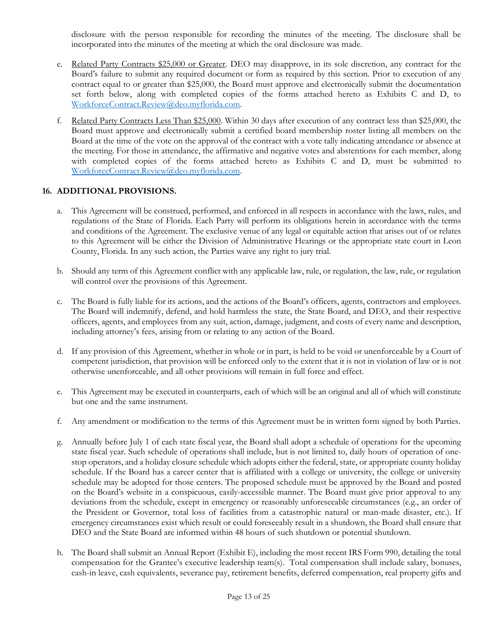disclosure with the person responsible for recording the minutes of the meeting. The disclosure shall be incorporated into the minutes of the meeting at which the oral disclosure was made.

- e. Related Party Contracts \$25,000 or Greater. DEO may disapprove, in its sole discretion, any contract for the Board's failure to submit any required document or form as required by this section. Prior to execution of any contract equal to or greater than \$25,000, the Board must approve and electronically submit the documentation set forth below, along with completed copies of the forms attached hereto as Exhibits C and D, to [WorkforceContract.Review@deo.myflorida.com.](mailto:WorkforceContract.Review@deo.myflorida.com)
- f. Related Party Contracts Less Than \$25,000. Within 30 days after execution of any contract less than \$25,000, the Board must approve and electronically submit a certified board membership roster listing all members on the Board at the time of the vote on the approval of the contract with a vote tally indicating attendance or absence at the meeting. For those in attendance, the affirmative and negative votes and abstentions for each member, along with completed copies of the forms attached hereto as Exhibits C and D, must be submitted to [WorkforceContract.Review@deo.myflorida.com.](mailto:WorkforceContract.Review@deo.myflorida.com)

### **16. ADDITIONAL PROVISIONS.**

- a. This Agreement will be construed, performed, and enforced in all respects in accordance with the laws, rules, and regulations of the State of Florida. Each Party will perform its obligations herein in accordance with the terms and conditions of the Agreement. The exclusive venue of any legal or equitable action that arises out of or relates to this Agreement will be either the Division of Administrative Hearings or the appropriate state court in Leon County, Florida. In any such action, the Parties waive any right to jury trial.
- b. Should any term of this Agreement conflict with any applicable law, rule, or regulation, the law, rule, or regulation will control over the provisions of this Agreement.
- c. The Board is fully liable for its actions, and the actions of the Board's officers, agents, contractors and employees. The Board will indemnify, defend, and hold harmless the state, the State Board, and DEO, and their respective officers, agents, and employees from any suit, action, damage, judgment, and costs of every name and description, including attorney's fees, arising from or relating to any action of the Board.
- d. If any provision of this Agreement, whether in whole or in part, is held to be void or unenforceable by a Court of competent jurisdiction, that provision will be enforced only to the extent that it is not in violation of law or is not otherwise unenforceable, and all other provisions will remain in full force and effect.
- e. This Agreement may be executed in counterparts, each of which will be an original and all of which will constitute but one and the same instrument.
- f. Any amendment or modification to the terms of this Agreement must be in written form signed by both Parties.
- g. Annually before July 1 of each state fiscal year, the Board shall adopt a schedule of operations for the upcoming state fiscal year. Such schedule of operations shall include, but is not limited to, daily hours of operation of onestop operators, and a holiday closure schedule which adopts either the federal, state, or appropriate county holiday schedule. If the Board has a career center that is affiliated with a college or university, the college or university schedule may be adopted for those centers. The proposed schedule must be approved by the Board and posted on the Board's website in a conspicuous, easily-accessible manner. The Board must give prior approval to any deviations from the schedule, except in emergency or reasonably unforeseeable circumstances (e.g., an order of the President or Governor, total loss of facilities from a catastrophic natural or man-made disaster, etc.). If emergency circumstances exist which result or could foreseeably result in a shutdown, the Board shall ensure that DEO and the State Board are informed within 48 hours of such shutdown or potential shutdown.
- h. The Board shall submit an Annual Report (Exhibit E), including the most recent IRS Form 990, detailing the total compensation for the Grantee's executive leadership team(s). Total compensation shall include salary, bonuses, cash-in leave, cash equivalents, severance pay, retirement benefits, deferred compensation, real property gifts and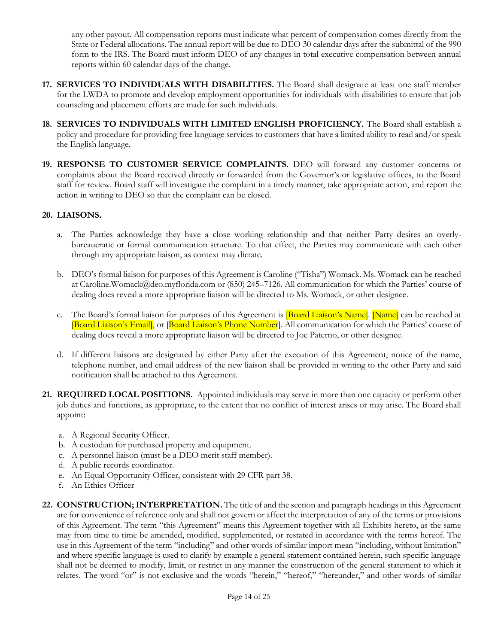any other payout. All compensation reports must indicate what percent of compensation comes directly from the State or Federal allocations. The annual report will be due to DEO 30 calendar days after the submittal of the 990 form to the IRS. The Board must inform DEO of any changes in total executive compensation between annual reports within 60 calendar days of the change.

- **17. SERVICES TO INDIVIDUALS WITH DISABILITIES.** The Board shall designate at least one staff member for the LWDA to promote and develop employment opportunities for individuals with disabilities to ensure that job counseling and placement efforts are made for such individuals.
- **18. SERVICES TO INDIVIDUALS WITH LIMITED ENGLISH PROFICIENCY.** The Board shall establish a policy and procedure for providing free language services to customers that have a limited ability to read and/or speak the English language.
- **19. RESPONSE TO CUSTOMER SERVICE COMPLAINTS.** DEO will forward any customer concerns or complaints about the Board received directly or forwarded from the Governor's or legislative offices, to the Board staff for review. Board staff will investigate the complaint in a timely manner, take appropriate action, and report the action in writing to DEO so that the complaint can be closed.

### **20. LIAISONS.**

- a. The Parties acknowledge they have a close working relationship and that neither Party desires an overlybureaucratic or formal communication structure. To that effect, the Parties may communicate with each other through any appropriate liaison, as context may dictate.
- b. DEO's formal liaison for purposes of this Agreement is Caroline ("Tisha") Womack. Ms. Womack can be reached at [Caroline.Womack@deo.myflorida.com o](mailto:Caroline.Womack@deo.myflorida.com)r (850) 245–7126. All communication for which the Parties' course of dealing does reveal a more appropriate liaison will be directed to Ms. Womack, or other designee.
- c. The Board's formal liaison for purposes of this Agreement is **Board Liaison's Name**]. **[Name]** can be reached at [Board Liaison's Email], or [Board Liaison's Phone Number]. All communication for which the Parties' course of dealing does reveal a more appropriate liaison will be directed to Joe Paterno, or other designee.
- d. If different liaisons are designated by either Party after the execution of this Agreement, notice of the name, telephone number, and email address of the new liaison shall be provided in writing to the other Party and said notification shall be attached to this Agreement.
- **21. REQUIRED LOCAL POSITIONS.** Appointed individuals may serve in more than one capacity or perform other job duties and functions, as appropriate, to the extent that no conflict of interest arises or may arise. The Board shall appoint:
	- a. A Regional Security Officer.
	- b. A custodian for purchased property and equipment.
	- c. A personnel liaison (must be a DEO merit staff member).
	- d. A public records coordinator.
	- e. An Equal Opportunity Officer, consistent with 29 CFR part 38.
	- f. An Ethics Officer
- **22. CONSTRUCTION; INTERPRETATION.** The title of and the section and paragraph headings in this Agreement are for convenience of reference only and shall not govern or affect the interpretation of any of the terms or provisions of this Agreement. The term "this Agreement" means this Agreement together with all Exhibits hereto, as the same may from time to time be amended, modified, supplemented, or restated in accordance with the terms hereof. The use in this Agreement of the term "including" and other words of similar import mean "including, without limitation" and where specific language is used to clarify by example a general statement contained herein, such specific language shall not be deemed to modify, limit, or restrict in any manner the construction of the general statement to which it relates. The word "or" is not exclusive and the words "herein," "hereof," "hereunder," and other words of similar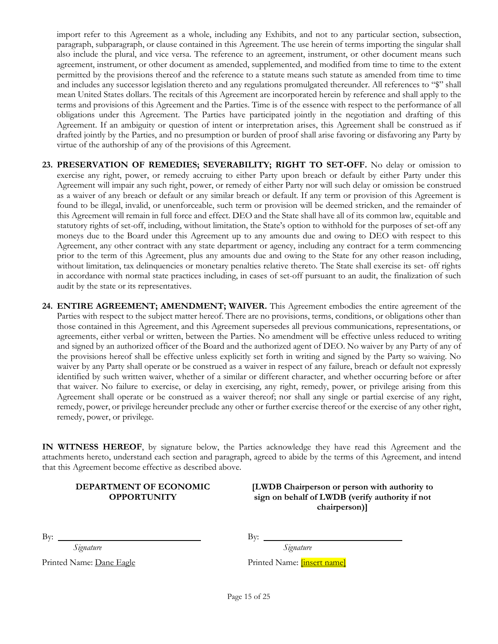import refer to this Agreement as a whole, including any Exhibits, and not to any particular section, subsection, paragraph, subparagraph, or clause contained in this Agreement. The use herein of terms importing the singular shall also include the plural, and vice versa. The reference to an agreement, instrument, or other document means such agreement, instrument, or other document as amended, supplemented, and modified from time to time to the extent permitted by the provisions thereof and the reference to a statute means such statute as amended from time to time and includes any successor legislation thereto and any regulations promulgated thereunder. All references to "\$" shall mean United States dollars. The recitals of this Agreement are incorporated herein by reference and shall apply to the terms and provisions of this Agreement and the Parties. Time is of the essence with respect to the performance of all obligations under this Agreement. The Parties have participated jointly in the negotiation and drafting of this Agreement. If an ambiguity or question of intent or interpretation arises, this Agreement shall be construed as if drafted jointly by the Parties, and no presumption or burden of proof shall arise favoring or disfavoring any Party by virtue of the authorship of any of the provisions of this Agreement.

- **23. PRESERVATION OF REMEDIES; SEVERABILITY; RIGHT TO SET-OFF.** No delay or omission to exercise any right, power, or remedy accruing to either Party upon breach or default by either Party under this Agreement will impair any such right, power, or remedy of either Party nor will such delay or omission be construed as a waiver of any breach or default or any similar breach or default. If any term or provision of this Agreement is found to be illegal, invalid, or unenforceable, such term or provision will be deemed stricken, and the remainder of this Agreement will remain in full force and effect. DEO and the State shall have all of its common law, equitable and statutory rights of set-off, including, without limitation, the State's option to withhold for the purposes of set-off any moneys due to the Board under this Agreement up to any amounts due and owing to DEO with respect to this Agreement, any other contract with any state department or agency, including any contract for a term commencing prior to the term of this Agreement, plus any amounts due and owing to the State for any other reason including, without limitation, tax delinquencies or monetary penalties relative thereto. The State shall exercise its set- off rights in accordance with normal state practices including, in cases of set-off pursuant to an audit, the finalization of such audit by the state or its representatives.
- **24. ENTIRE AGREEMENT; AMENDMENT; WAIVER.** This Agreement embodies the entire agreement of the Parties with respect to the subject matter hereof. There are no provisions, terms, conditions, or obligations other than those contained in this Agreement, and this Agreement supersedes all previous communications, representations, or agreements, either verbal or written, between the Parties. No amendment will be effective unless reduced to writing and signed by an authorized officer of the Board and the authorized agent of DEO. No waiver by any Party of any of the provisions hereof shall be effective unless explicitly set forth in writing and signed by the Party so waiving. No waiver by any Party shall operate or be construed as a waiver in respect of any failure, breach or default not expressly identified by such written waiver, whether of a similar or different character, and whether occurring before or after that waiver. No failure to exercise, or delay in exercising, any right, remedy, power, or privilege arising from this Agreement shall operate or be construed as a waiver thereof; nor shall any single or partial exercise of any right, remedy, power, or privilege hereunder preclude any other or further exercise thereof or the exercise of any other right, remedy, power, or privilege.

**IN WITNESS HEREOF**, by signature below, the Parties acknowledge they have read this Agreement and the attachments hereto, understand each section and paragraph, agreed to abide by the terms of this Agreement, and intend that this Agreement become effective as described above.

#### **DEPARTMENT OF ECONOMIC OPPORTUNITY**

**[LWDB Chairperson or person with authority to sign on behalf of LWDB (verify authority if not chairperson)]**

By: By:

Printed Name: Dane Eagle Printed Name: [insert name]

*Signature Signature*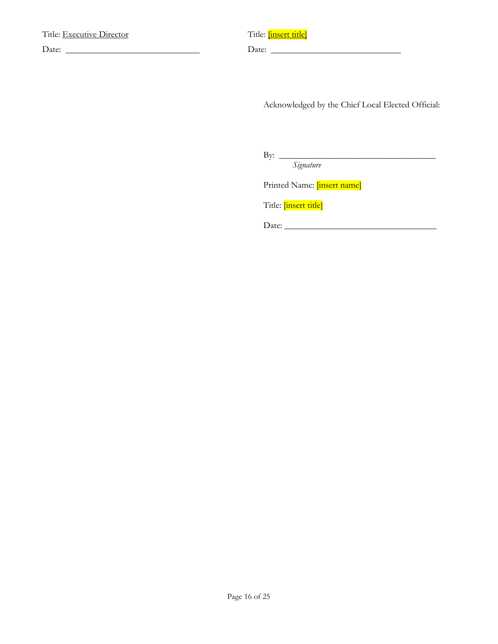| <b>Title: Executive Director</b> | Title: <i>insert title</i> |
|----------------------------------|----------------------------|
| Date:                            | Date:                      |

|       | Title: <mark>[insert title]</mark> |
|-------|------------------------------------|
| Date: |                                    |

Acknowledged by the Chief Local Elected Official:

 $\overline{\phantom{a}}$  ,  $\overline{\phantom{a}}$  ,  $\overline{\phantom{a}}$  ,  $\overline{\phantom{a}}$  ,  $\overline{\phantom{a}}$  ,  $\overline{\phantom{a}}$  ,  $\overline{\phantom{a}}$  ,  $\overline{\phantom{a}}$  ,  $\overline{\phantom{a}}$  ,  $\overline{\phantom{a}}$  ,  $\overline{\phantom{a}}$  ,  $\overline{\phantom{a}}$  ,  $\overline{\phantom{a}}$  ,  $\overline{\phantom{a}}$  ,  $\overline{\phantom{a}}$  ,  $\overline{\phantom{a}}$ 

By:  $\frac{S_{\text{r}}}{\text{S_{\text{r}}}}$ 

Printed Name: [insert name]

Title: *[insert title]* 

Date: \_\_\_\_\_\_\_\_\_\_\_\_\_\_\_\_\_\_\_\_\_\_\_\_\_\_\_\_\_\_\_\_\_\_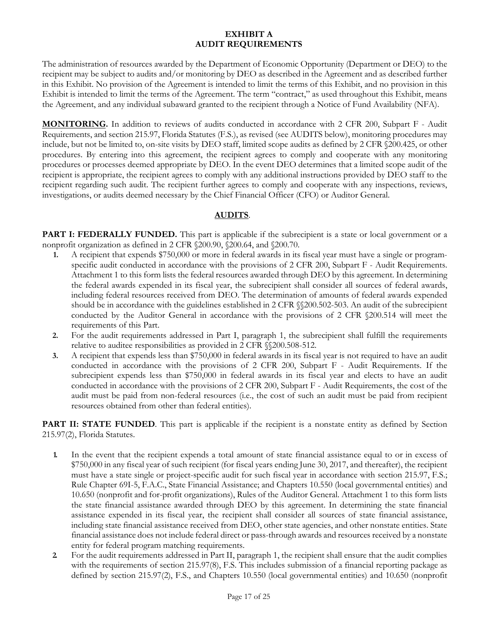### **EXHIBIT A AUDIT REQUIREMENTS**

The administration of resources awarded by the Department of Economic Opportunity (Department or DEO) to the recipient may be subject to audits and/or monitoring by DEO as described in the Agreement and as described further in this Exhibit. No provision of the Agreement is intended to limit the terms of this Exhibit, and no provision in this Exhibit is intended to limit the terms of the Agreement. The term "contract," as used throughout this Exhibit, means the Agreement, and any individual subaward granted to the recipient through a Notice of Fund Availability (NFA).

**MONITORING.** In addition to reviews of audits conducted in accordance with 2 CFR 200, Subpart F - Audit Requirements, and section 215.97, Florida Statutes (F.S.), as revised (see AUDITS below), monitoring procedures may include, but not be limited to, on-site visits by DEO staff, limited scope audits as defined by 2 CFR §200.425, or other procedures. By entering into this agreement, the recipient agrees to comply and cooperate with any monitoring procedures or processes deemed appropriate by DEO. In the event DEO determines that a limited scope audit of the recipient is appropriate, the recipient agrees to comply with any additional instructions provided by DEO staff to the recipient regarding such audit. The recipient further agrees to comply and cooperate with any inspections, reviews, investigations, or audits deemed necessary by the Chief Financial Officer (CFO) or Auditor General.

# **AUDITS**.

**PART I: FEDERALLY FUNDED.** This part is applicable if the subrecipient is a state or local government or a nonprofit organization as defined in 2 CFR §200.90, §200.64, and §200.70.

- **1.** A recipient that expends \$750,000 or more in federal awards in its fiscal year must have a single or programspecific audit conducted in accordance with the provisions of 2 CFR 200, Subpart F - Audit Requirements. Attachment 1 to this form lists the federal resources awarded through DEO by this agreement. In determining the federal awards expended in its fiscal year, the subrecipient shall consider all sources of federal awards, including federal resources received from DEO. The determination of amounts of federal awards expended should be in accordance with the guidelines established in 2 CFR §§200.502-503. An audit of the subrecipient conducted by the Auditor General in accordance with the provisions of 2 CFR §200.514 will meet the requirements of this Part.
- **2.** For the audit requirements addressed in Part I, paragraph 1, the subrecipient shall fulfill the requirements relative to auditee responsibilities as provided in 2 CFR §§200.508-512.
- **3.** A recipient that expends less than \$750,000 in federal awards in its fiscal year is not required to have an audit conducted in accordance with the provisions of 2 CFR 200, Subpart F - Audit Requirements. If the subrecipient expends less than \$750,000 in federal awards in its fiscal year and elects to have an audit conducted in accordance with the provisions of 2 CFR 200, Subpart F - Audit Requirements, the cost of the audit must be paid from non-federal resources (i.e., the cost of such an audit must be paid from recipient resources obtained from other than federal entities).

**PART II: STATE FUNDED**. This part is applicable if the recipient is a nonstate entity as defined by Section 215.97(2), Florida Statutes.

- **1.** In the event that the recipient expends a total amount of state financial assistance equal to or in excess of \$750,000 in any fiscal year of such recipient (for fiscal years ending June 30, 2017, and thereafter), the recipient must have a state single or project-specific audit for such fiscal year in accordance with section 215.97, F.S.; Rule Chapter 69I-5, F.A.C., State Financial Assistance; and Chapters 10.550 (local governmental entities) and 10.650 (nonprofit and for-profit organizations), Rules of the Auditor General. Attachment 1 to this form lists the state financial assistance awarded through DEO by this agreement. In determining the state financial assistance expended in its fiscal year, the recipient shall consider all sources of state financial assistance, including state financial assistance received from DEO, other state agencies, and other nonstate entities. State financial assistance does not include federal direct or pass-through awards and resources received by a nonstate entity for federal program matching requirements.
- **2.** For the audit requirements addressed in Part II, paragraph 1, the recipient shall ensure that the audit complies with the requirements of section 215.97(8), F.S. This includes submission of a financial reporting package as defined by section 215.97(2), F.S., and Chapters 10.550 (local governmental entities) and 10.650 (nonprofit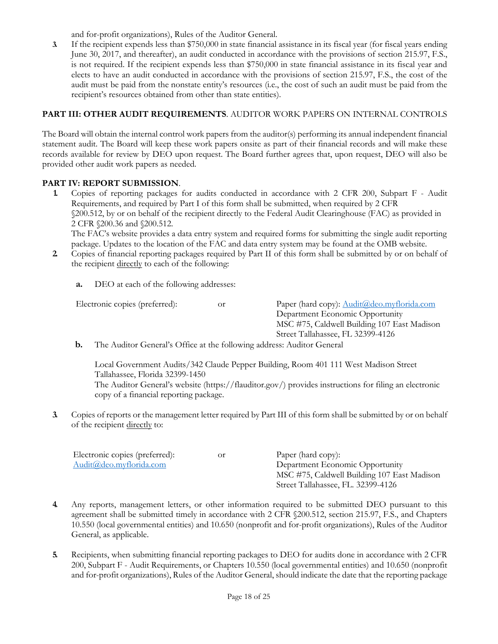and for-profit organizations), Rules of the Auditor General.

**3.** If the recipient expends less than \$750,000 in state financial assistance in its fiscal year (for fiscal years ending June 30, 2017, and thereafter), an audit conducted in accordance with the provisions of section 215.97, F.S., is not required. If the recipient expends less than \$750,000 in state financial assistance in its fiscal year and elects to have an audit conducted in accordance with the provisions of section 215.97, F.S., the cost of the audit must be paid from the nonstate entity's resources (i.e., the cost of such an audit must be paid from the recipient's resources obtained from other than state entities).

# **PART III: OTHER AUDIT REQUIREMENTS**. AUDITOR WORK PAPERS ON INTERNAL CONTROLS

The Board will obtain the internal control work papers from the auditor(s) performing its annual independent financial statement audit. The Board will keep these work papers onsite as part of their financial records and will make these records available for review by DEO upon request. The Board further agrees that, upon request, DEO will also be provided other audit work papers as needed.

### **PART IV: REPORT SUBMISSION**.

**1.** Copies of reporting packages for audits conducted in accordance with 2 CFR 200, Subpart F - Audit Requirements, and required by Part I of this form shall be submitted, when required by 2 CFR §200.512, by or on behalf of the recipient directly to the Federal Audit Clearinghouse (FAC) as provided in 2 CFR §200.36 and §200.512. The FAC's website provides a data entry system and required forms for submitting the single audit reporting

package. Updates to the location of the FAC and data entry system may be found at the OMB website.

- **2.** Copies of financial reporting packages required by Part II of this form shall be submitted by or on behalf of the recipient directly to each of the following:
	- **a.** DEO at each of the following addresses:

Electronic copies (preferred): or Paper (hard copy): [Audit@deo.myflorida.com](mailto:Audit@deo.myflorida.com)

Department Economic Opportunity MSC #75, Caldwell Building 107 East Madison Street Tallahassee, FL 32399-4126

**b.** The Auditor General's Office at the following address: Auditor General

Local Government Audits/342 Claude Pepper Building, Room 401 111 West Madison Street Tallahassee, Florida 32399-1450 The Auditor General's website (https://flauditor.gov/) provides instructions for filing an electronic copy of a financial reporting package.

**3.** Copies of reports or the management letter required by Part III of this form shall be submitted by or on behalf of the recipient directly to:

| 0r | Paper (hard copy):                          |
|----|---------------------------------------------|
|    | Department Economic Opportunity             |
|    | MSC #75, Caldwell Building 107 East Madison |
|    | Street Tallahassee, FL. 32399-4126          |
|    |                                             |

- **4.** Any reports, management letters, or other information required to be submitted DEO pursuant to this agreement shall be submitted timely in accordance with 2 CFR §200.512, section 215.97, F.S., and Chapters 10.550 (local governmental entities) and 10.650 (nonprofit and for-profit organizations), Rules of the Auditor General, as applicable.
- **5.** Recipients, when submitting financial reporting packages to DEO for audits done in accordance with 2 CFR 200, Subpart F - Audit Requirements, or Chapters 10.550 (local governmental entities) and 10.650 (nonprofit and for-profit organizations), Rules of the Auditor General, should indicate the date that the reporting package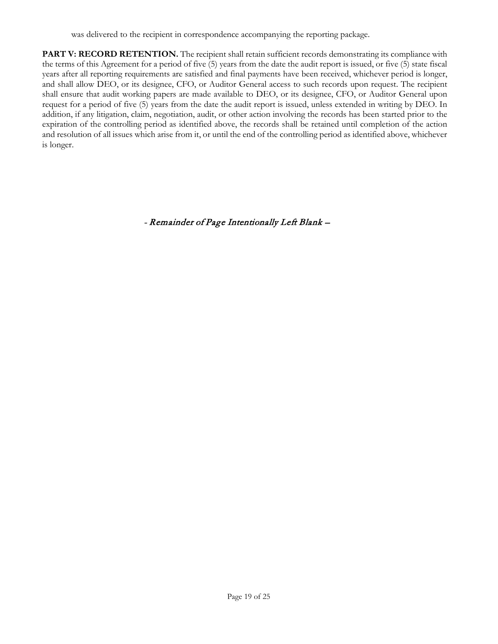**PART V: RECORD RETENTION.** The recipient shall retain sufficient records demonstrating its compliance with the terms of this Agreement for a period of five (5) years from the date the audit report is issued, or five (5) state fiscal years after all reporting requirements are satisfied and final payments have been received, whichever period is longer, and shall allow DEO, or its designee, CFO, or Auditor General access to such records upon request. The recipient shall ensure that audit working papers are made available to DEO, or its designee, CFO, or Auditor General upon request for a period of five (5) years from the date the audit report is issued, unless extended in writing by DEO. In addition, if any litigation, claim, negotiation, audit, or other action involving the records has been started prior to the expiration of the controlling period as identified above, the records shall be retained until completion of the action and resolution of all issues which arise from it, or until the end of the controlling period as identified above, whichever is longer.

- Remainder of Page Intentionally Left Blank –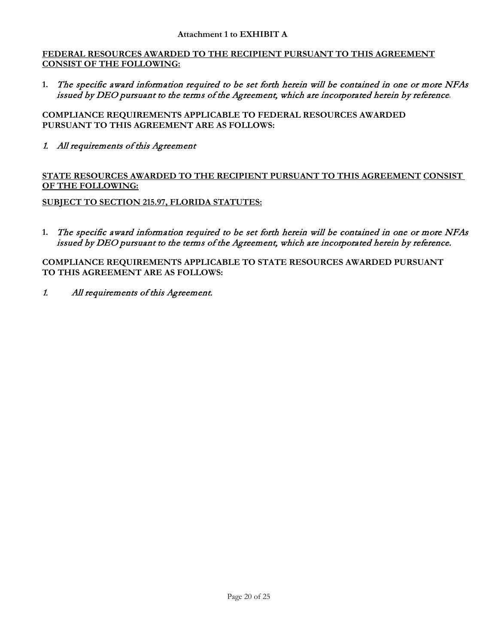### **FEDERAL RESOURCES AWARDED TO THE RECIPIENT PURSUANT TO THIS AGREEMENT CONSIST OF THE FOLLOWING:**

**1.** The specific award information required to be set forth herein will be contained in one or more NFAs issued by DEO pursuant to the terms of the Agreement, which are incorporated herein by reference.

**COMPLIANCE REQUIREMENTS APPLICABLE TO FEDERAL RESOURCES AWARDED PURSUANT TO THIS AGREEMENT ARE AS FOLLOWS:**

1. All requirements of this Agreement

**STATE RESOURCES AWARDED TO THE RECIPIENT PURSUANT TO THIS AGREEMENT CONSIST OF THE FOLLOWING:**

**SUBJECT TO SECTION 215.97, FLORIDA STATUTES:**

**1.** The specific award information required to be set forth herein will be contained in one or more NFAs issued by DEO pursuant to the terms of the Agreement, which are incorporated herein by reference.

**COMPLIANCE REQUIREMENTS APPLICABLE TO STATE RESOURCES AWARDED PURSUANT TO THIS AGREEMENT ARE AS FOLLOWS:**

1. All requirements of this Agreement.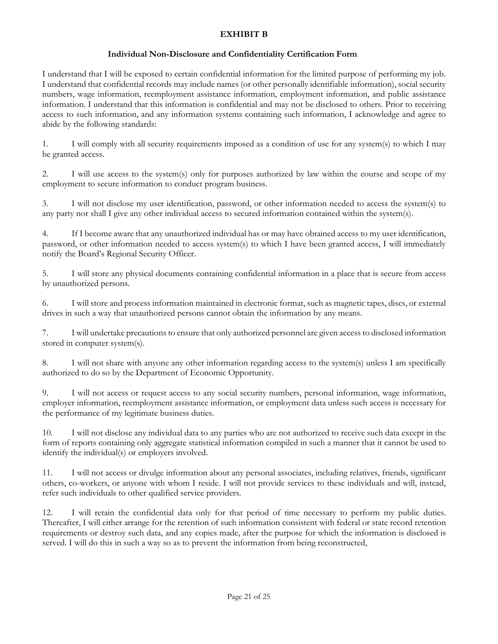# **EXHIBIT B**

### **Individual Non-Disclosure and Confidentiality Certification Form**

I understand that I will be exposed to certain confidential information for the limited purpose of performing my job. I understand that confidential records may include names (or other personally identifiable information), social security numbers, wage information, reemployment assistance information, employment information, and public assistance information. I understand that this information is confidential and may not be disclosed to others. Prior to receiving access to such information, and any information systems containing such information, I acknowledge and agree to abide by the following standards:

1. I will comply with all security requirements imposed as a condition of use for any system(s) to which I may be granted access.

2. I will use access to the system(s) only for purposes authorized by law within the course and scope of my employment to secure information to conduct program business.

3. I will not disclose my user identification, password, or other information needed to access the system(s) to any party nor shall I give any other individual access to secured information contained within the system(s).

4. If I become aware that any unauthorized individual has or may have obtained access to my user identification, password, or other information needed to access system(s) to which I have been granted access, I will immediately notify the Board's Regional Security Officer.

5. I will store any physical documents containing confidential information in a place that is secure from access by unauthorized persons.

6. I will store and process information maintained in electronic format, such as magnetic tapes, discs, or external drives in such a way that unauthorized persons cannot obtain the information by any means.

7. I will undertake precautions to ensure that only authorized personnel are given access to disclosed information stored in computer system(s).

8. I will not share with anyone any other information regarding access to the system(s) unless I am specifically authorized to do so by the Department of Economic Opportunity.

9. I will not access or request access to any social security numbers, personal information, wage information, employer information, reemployment assistance information, or employment data unless such access is necessary for the performance of my legitimate business duties.

10. I will not disclose any individual data to any parties who are not authorized to receive such data except in the form of reports containing only aggregate statistical information compiled in such a manner that it cannot be used to identify the individual(s) or employers involved.

11. I will not access or divulge information about any personal associates, including relatives, friends, significant others, co-workers, or anyone with whom I reside. I will not provide services to these individuals and will, instead, refer such individuals to other qualified service providers.

12. I will retain the confidential data only for that period of time necessary to perform my public duties. Thereafter, I will either arrange for the retention of such information consistent with federal or state record retention requirements or destroy such data, and any copies made, after the purpose for which the information is disclosed is served. I will do this in such a way so as to prevent the information from being reconstructed,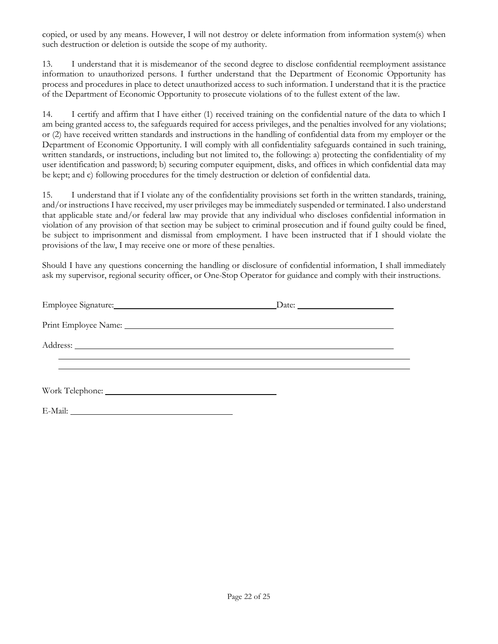copied, or used by any means. However, I will not destroy or delete information from information system(s) when such destruction or deletion is outside the scope of my authority.

13. I understand that it is misdemeanor of the second degree to disclose confidential reemployment assistance information to unauthorized persons. I further understand that the Department of Economic Opportunity has process and procedures in place to detect unauthorized access to such information. I understand that it is the practice of the Department of Economic Opportunity to prosecute violations of to the fullest extent of the law.

14. I certify and affirm that I have either (1) received training on the confidential nature of the data to which I am being granted access to, the safeguards required for access privileges, and the penalties involved for any violations; or (2) have received written standards and instructions in the handling of confidential data from my employer or the Department of Economic Opportunity. I will comply with all confidentiality safeguards contained in such training, written standards, or instructions, including but not limited to, the following: a) protecting the confidentiality of my user identification and password; b) securing computer equipment, disks, and offices in which confidential data may be kept; and c) following procedures for the timely destruction or deletion of confidential data.

15. I understand that if I violate any of the confidentiality provisions set forth in the written standards, training, and/or instructions I have received, my user privileges may be immediately suspended or terminated. I also understand that applicable state and/or federal law may provide that any individual who discloses confidential information in violation of any provision of that section may be subject to criminal prosecution and if found guilty could be fined, be subject to imprisonment and dismissal from employment. I have been instructed that if I should violate the provisions of the law, I may receive one or more of these penalties.

Should I have any questions concerning the handling or disclosure of confidential information, I shall immediately ask my supervisor, regional security officer, or One-Stop Operator for guidance and comply with their instructions.

| Employee Signature: Management Control of the Signature: | $\Box$ Date: $\Box$ |  |
|----------------------------------------------------------|---------------------|--|
|                                                          |                     |  |
| Address: <u>Address:</u> Address: 2007                   |                     |  |
|                                                          |                     |  |
| E-Mail:                                                  |                     |  |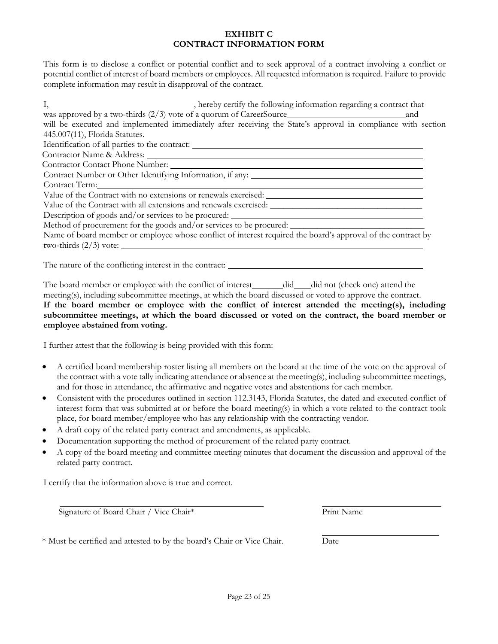#### **EXHIBIT C CONTRACT INFORMATION FORM**

This form is to disclose a conflict or potential conflict and to seek approval of a contract involving a conflict or potential conflict of interest of board members or employees. All requested information is required. Failure to provide complete information may result in disapproval of the contract.

| I, hereby certify the following information regarding a contract that                                        |
|--------------------------------------------------------------------------------------------------------------|
| and                                                                                                          |
| will be executed and implemented immediately after receiving the State's approval in compliance with section |
| 445.007(11), Florida Statutes.                                                                               |
| Identification of all parties to the contract: __________________________________                            |
|                                                                                                              |
|                                                                                                              |
|                                                                                                              |
| Contract Term: No. 1986                                                                                      |
| Value of the Contract with no extensions or renewals exercised:                                              |
| Value of the Contract with all extensions and renewals exercised:                                            |
| Description of goods and/or services to be procured: ____________________________                            |
| Method of procurement for the goods and/or services to be procured:                                          |
| Name of board member or employee whose conflict of interest required the board's approval of the contract by |
| two-thirds $(2/3)$ vote:                                                                                     |
| The nature of the conflicting interest in the contract:                                                      |

The board member or employee with the conflict of interest did did not (check one) attend the meeting(s), including subcommittee meetings, at which the board discussed or voted to approve the contract.

### **If the board member or employee with the conflict of interest attended the meeting(s), including subcommittee meetings, at which the board discussed or voted on the contract, the board member or employee abstained from voting.**

I further attest that the following is being provided with this form:

- A certified board membership roster listing all members on the board at the time of the vote on the approval of the contract with a vote tally indicating attendance or absence at the meeting(s), including subcommittee meetings, and for those in attendance, the affirmative and negative votes and abstentions for each member.
- Consistent with the procedures outlined in section 112.3143, Florida Statutes, the dated and executed conflict of interest form that was submitted at or before the board meeting(s) in which a vote related to the contract took place, for board member/employee who has any relationship with the contracting vendor.
- A draft copy of the related party contract and amendments, as applicable.
- Documentation supporting the method of procurement of the related party contract.
- A copy of the board meeting and committee meeting minutes that document the discussion and approval of the related party contract.

I certify that the information above is true and correct.

Signature of Board Chair / Vice Chair\* Print Name

\* Must be certified and attested to by the board's Chair or Vice Chair. Date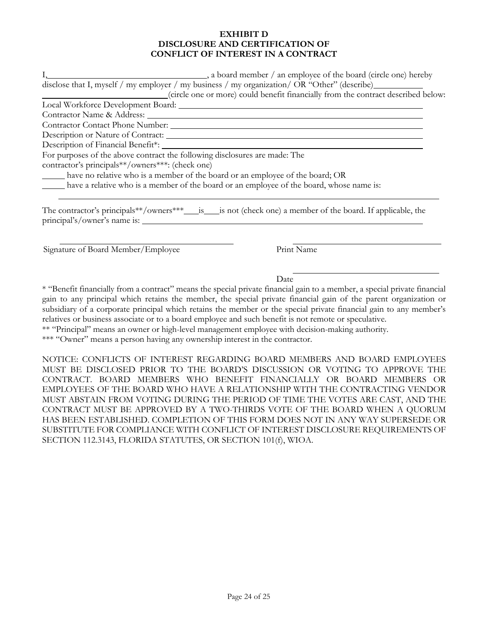### **EXHIBIT D DISCLOSURE AND CERTIFICATION OF CONFLICT OF INTEREST IN A CONTRACT**

| disclose that I, myself / my employer / my business / my organization/ OR "Other" (describe)<br>(circle one or more) could benefit financially from the contract described below:                                              |
|--------------------------------------------------------------------------------------------------------------------------------------------------------------------------------------------------------------------------------|
| Local Workforce Development Board: _________                                                                                                                                                                                   |
| Contractor Name & Address: University of the Second Second Second Second Second Second Second Second Second Second Second Second Second Second Second Second Second Second Second Second Second Second Second Second Second Se |
| Contractor Contact Phone Number: New York 1988                                                                                                                                                                                 |
| Description or Nature of Contract:                                                                                                                                                                                             |
|                                                                                                                                                                                                                                |
| For purposes of the above contract the following disclosures are made: The                                                                                                                                                     |
| contractor's principals**/owners***: (check one)                                                                                                                                                                               |
| have no relative who is a member of the board or an employee of the board; OR                                                                                                                                                  |
| have a relative who is a member of the board or an employee of the board, whose name is:                                                                                                                                       |
| principal's/owner's name is:                                                                                                                                                                                                   |

Signature of Board Member/Employee Print Name

Date

\* "Benefit financially from a contract" means the special private financial gain to a member, a special private financial gain to any principal which retains the member, the special private financial gain of the parent organization or subsidiary of a corporate principal which retains the member or the special private financial gain to any member's relatives or business associate or to a board employee and such benefit is not remote or speculative.

\*\* "Principal" means an owner or high-level management employee with decision-making authority.

\*\*\* "Owner" means a person having any ownership interest in the contractor.

NOTICE: CONFLICTS OF INTEREST REGARDING BOARD MEMBERS AND BOARD EMPLOYEES MUST BE DISCLOSED PRIOR TO THE BOARD'S DISCUSSION OR VOTING TO APPROVE THE CONTRACT. BOARD MEMBERS WHO BENEFIT FINANCIALLY OR BOARD MEMBERS OR EMPLOYEES OF THE BOARD WHO HAVE A RELATIONSHIP WITH THE CONTRACTING VENDOR MUST ABSTAIN FROM VOTING DURING THE PERIOD OF TIME THE VOTES ARE CAST, AND THE CONTRACT MUST BE APPROVED BY A TWO-THIRDS VOTE OF THE BOARD WHEN A QUORUM HAS BEEN ESTABLISHED. COMPLETION OF THIS FORM DOES NOT IN ANY WAY SUPERSEDE OR SUBSTITUTE FOR COMPLIANCE WITH CONFLICT OF INTEREST DISCLOSURE REQUIREMENTS OF SECTION 112.3143, FLORIDA STATUTES, OR SECTION 101(f), WIOA.